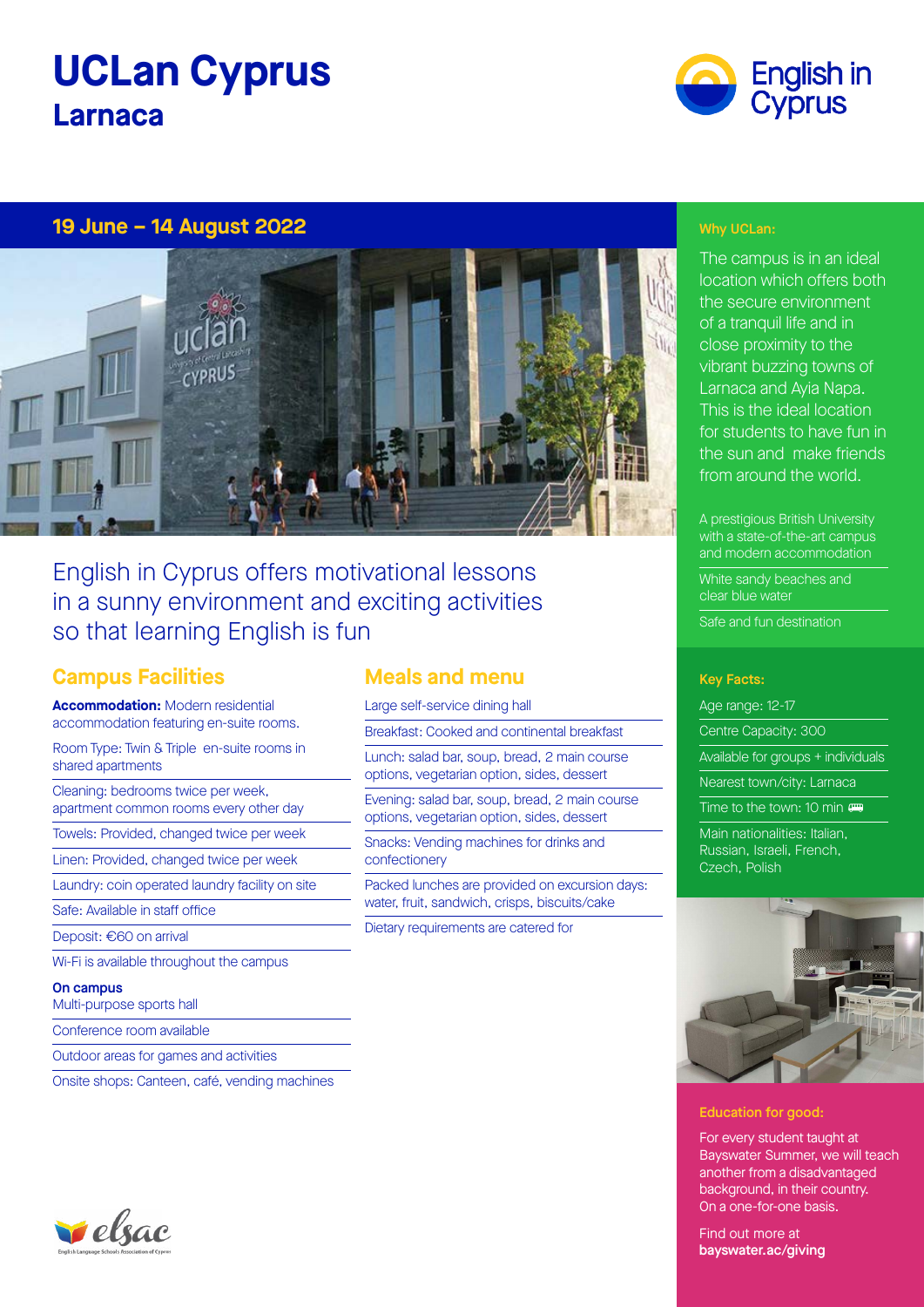# **UCLan Cyprus Larnaca**



## **19 June – 14 August 2022** Why UCLan: **19 June – 14 August 2022**



# English in Cyprus offers motivational lessons in a sunny environment and exciting activities so that learning English is fun

# **Campus Facilities**

**Accommodation:** Modern residential accommodation featuring en-suite rooms.

Room Type: Twin & Triple en-suite rooms in shared apartments

Cleaning: bedrooms twice per week, apartment common rooms every other day

Towels: Provided, changed twice per week

Linen: Provided, changed twice per week

Laundry: coin operated laundry facility on site

Safe: Available in staff office

Deposit: €60 on arrival

Wi-Fi is available throughout the campus

#### On campus

Multi-purpose sports hall

Conference room available

Outdoor areas for games and activities

Onsite shops: Canteen, café, vending machines

# **Meals and menu**

Large self-service dining hall

Breakfast: Cooked and continental breakfast

Lunch: salad bar, soup, bread, 2 main course options, vegetarian option, sides, dessert

Evening: salad bar, soup, bread, 2 main course options, vegetarian option, sides, dessert

Snacks: Vending machines for drinks and confectionery

Packed lunches are provided on excursion days: water, fruit, sandwich, crisps, biscuits/cake

Dietary requirements are catered for

The campus is in an ideal location which offers both the secure environment of a tranquil life and in close proximity to the vibrant buzzing towns of Larnaca and Ayia Napa. This is the ideal location for students to have fun in the sun and make friends from around the world.

A prestigious British University with a state-of-the-art campus and modern accommodation

White sandy beaches and clear blue water

Safe and fun destination

### Key Facts:

Age range: 12-17

Centre Capacity: 300

Available for groups + individuals

Nearest town/city: Larnaca

Time to the town: 10 min com

Main nationalities: Italian, Russian, Israeli, French, Czech, Polish



### Education for good:

For every student taught at Bayswater Summer, we will teach another from a disadvantaged background, in their country. On a one-for-one basis.

Find out more at bayswater.ac/giving